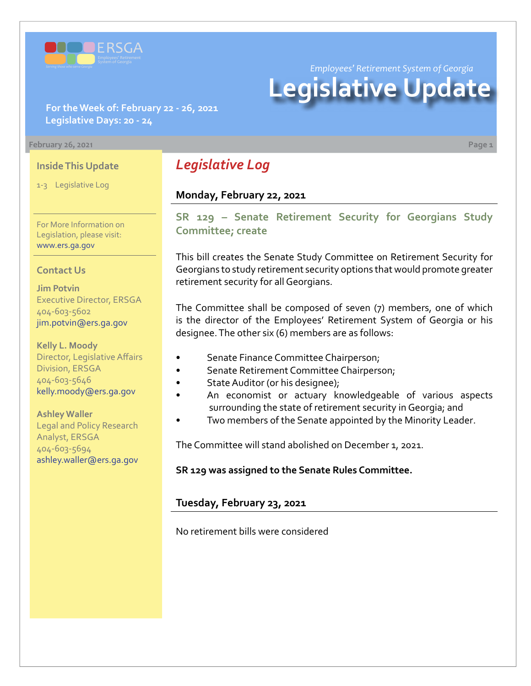

*Employees' Retirement System of Georgia*

# **Legislative Update**

**For the Week of: February 22 - 26, 2021 Legislative Days: 20 - 24**

#### **February 26, 2021 Page 1**

#### **Inside This Update**

1-3 Legislative Log

For More Information on Legislation, please visit: [www.ers.ga.gov](http://www.ers.ga.gov/default.aspx)

#### **Contact Us**

**Jim Potvin** Executive Director, ERSGA 404-603-5602 jim.potvin@ers.ga.gov

**Kelly L. Moody** Director, Legislative Affairs Division, ERSGA 404-603-5646 kelly.moody@ers.ga.gov

**Ashley Waller** Legal and Policy Research Analyst, ERSGA 404-603-5694 ashley.waller@ers.ga.gov

# *Legislative Log*

# **Monday, February 22, 2021**

**[SR 129 – Senate Retirement Security for Georgians Study](https://www.legis.ga.gov/legislation/59849)  Committee; create**

This bill creates the Senate Study Committee on Retirement Security for Georgians to study retirement security options that would promote greater retirement security for all Georgians.

The Committee shall be composed of seven (7) members, one of which is the director of the Employees' Retirement System of Georgia or his designee. The other six (6) members are as follows:

- Senate Finance Committee Chairperson;
- Senate Retirement Committee Chairperson;
- State Auditor (or his designee);
- An economist or actuary knowledgeable of various aspects surrounding the state of retirement security in Georgia; and
- Two members of the Senate appointed by the Minority Leader.

The Committee will stand abolished on December 1, 2021.

**SR 129 was assigned to the Senate Rules Committee.**

### **Tuesday, February 23, 2021**

No retirement bills were considered

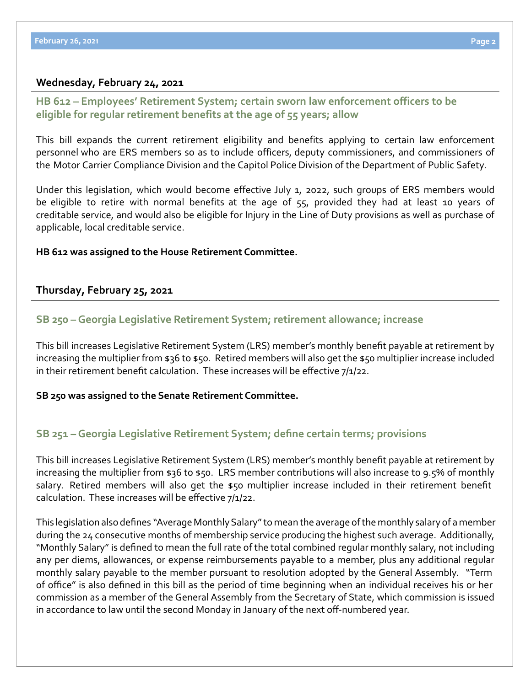# **Wednesday, February 24, 2021**

# **[HB 612 – Employees' Retirement System; certain sworn law enforcement officers to be](https://www.legis.ga.gov/legislation/59987)  eligible for regular retirement benefits at the age of 55 years; allow**

This bill expands the current retirement eligibility and benefits applying to certain law enforcement personnel who are ERS members so as to include officers, deputy commissioners, and commissioners of the Motor Carrier Compliance Division and the Capitol Police Division of the Department of Public Safety.

Under this legislation, which would become effective July 1, 2022, such groups of ERS members would be eligible to retire with normal benefits at the age of 55, provided they had at least 10 years of creditable service, and would also be eligible for Injury in the Line of Duty provisions as well as purchase of applicable, local creditable service.

### **HB 612 was assigned to the House Retirement Committee.**

# **Thursday, February 25, 2021**

### **SB 250 – [Georgia Legislative Retirement System; retirement allowance; increase](https://www.legis.ga.gov/legislation/60053)**

This bill increases Legislative Retirement System (LRS) member's monthly benefit payable at retirement by increasing the multiplier from \$36 to \$50. Retired members will also get the \$50 multiplier increase included in their retirement benefit calculation. These increases will be effective 7/1/22.

#### **SB 250 was assigned to the Senate Retirement Committee.**

# **[SB 251 –Georgia Legislative Retirement System; define certain terms; provisions](https://www.legis.ga.gov/legislation/60054)**

This bill increases Legislative Retirement System (LRS) member's monthly benefit payable at retirement by increasing the multiplier from \$36 to \$50. LRS member contributions will also increase to 9.5% of monthly salary. Retired members will also get the \$50 multiplier increase included in their retirement benefit calculation. These increases will be effective 7/1/22.

This legislation also defines "Average Monthly Salary" to mean the average of the monthly salary of a member during the 24 consecutive months of membership service producing the highest such average. Additionally, "Monthly Salary" is defined to mean the full rate of the total combined regular monthly salary, not including any per diems, allowances, or expense reimbursements payable to a member, plus any additional regular monthly salary payable to the member pursuant to resolution adopted by the General Assembly. "Term of office" is also defined in this bill as the period of time beginning when an individual receives his or her commission as a member of the General Assembly from the Secretary of State, which commission is issued in accordance to law until the second Monday in January of the next off-numbered year.